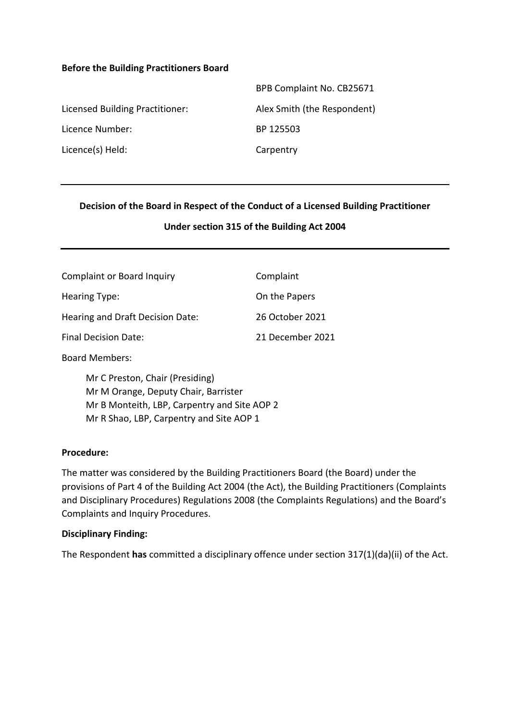#### **Before the Building Practitioners Board**

|                                 | BPB Complaint No. CB25671   |
|---------------------------------|-----------------------------|
| Licensed Building Practitioner: | Alex Smith (the Respondent) |
| Licence Number:                 | BP 125503                   |
| Licence(s) Held:                | Carpentry                   |

#### **Decision of the Board in Respect of the Conduct of a Licensed Building Practitioner**

#### **Under section 315 of the Building Act 2004**

| <b>Complaint or Board Inquiry</b> | Complaint        |
|-----------------------------------|------------------|
| Hearing Type:                     | On the Papers    |
| Hearing and Draft Decision Date:  | 26 October 2021  |
| <b>Final Decision Date:</b>       | 21 December 2021 |

Board Members:

Mr C Preston, Chair (Presiding) Mr M Orange, Deputy Chair, Barrister Mr B Monteith, LBP, Carpentry and Site AOP 2 Mr R Shao, LBP, Carpentry and Site AOP 1

#### **Procedure:**

The matter was considered by the Building Practitioners Board (the Board) under the provisions of Part 4 of the Building Act 2004 (the Act), the Building Practitioners (Complaints and Disciplinary Procedures) Regulations 2008 (the Complaints Regulations) and the Board's Complaints and Inquiry Procedures.

#### **Disciplinary Finding:**

The Respondent **has** committed a disciplinary offence under section 317(1)(da)(ii) of the Act.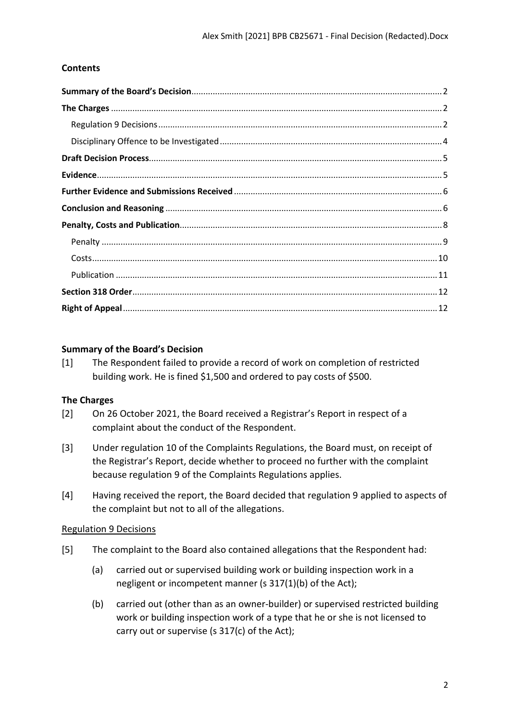# **Contents**

## <span id="page-1-0"></span>**Summary of the Board's Decision**

[1] The Respondent failed to provide a record of work on completion of restricted building work. He is fined \$1,500 and ordered to pay costs of \$500.

#### <span id="page-1-1"></span>**The Charges**

- [2] On 26 October 2021, the Board received a Registrar's Report in respect of a complaint about the conduct of the Respondent.
- [3] Under regulation 10 of the Complaints Regulations, the Board must, on receipt of the Registrar's Report, decide whether to proceed no further with the complaint because regulation 9 of the Complaints Regulations applies.
- [4] Having received the report, the Board decided that regulation 9 applied to aspects of the complaint but not to all of the allegations.

## <span id="page-1-2"></span>Regulation 9 Decisions

- [5] The complaint to the Board also contained allegations that the Respondent had:
	- (a) carried out or supervised building work or building inspection work in a negligent or incompetent manner (s 317(1)(b) of the Act);
	- (b) carried out (other than as an owner-builder) or supervised restricted building work or building inspection work of a type that he or she is not licensed to carry out or supervise (s 317(c) of the Act);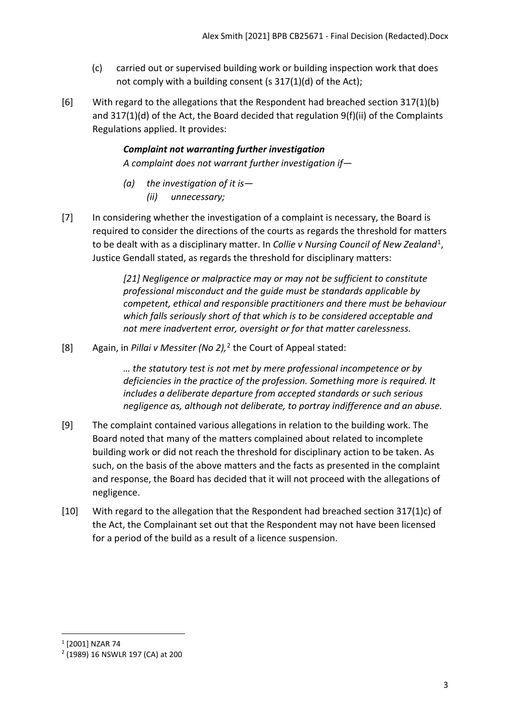- (c) carried out or supervised building work or building inspection work that does not comply with a building consent (s 317(1)(d) of the Act);
- [6] With regard to the allegations that the Respondent had breached section 317(1)(b) and 317(1)(d) of the Act, the Board decided that regulation 9(f)(ii) of the Complaints Regulations applied. It provides:

*Complaint not warranting further investigation A complaint does not warrant further investigation if—* 

- *(a) the investigation of it is— (ii) unnecessary;*
- [7] In considering whether the investigation of a complaint is necessary, the Board is required to consider the directions of the courts as regards the threshold for matters to be dealt with as a disciplinary matter. In *Collie v Nursing Council of New Zealand*[1,](#page-2-0) Justice Gendall stated, as regards the threshold for disciplinary matters:

*[21] Negligence or malpractice may or may not be sufficient to constitute professional misconduct and the guide must be standards applicable by competent, ethical and responsible practitioners and there must be behaviour which falls seriously short of that which is to be considered acceptable and not mere inadvertent error, oversight or for that matter carelessness.*

[8] Again, in *Pillai v Messiter (No 2),* [2](#page-2-1) the Court of Appeal stated:

*… the statutory test is not met by mere professional incompetence or by deficiencies in the practice of the profession. Something more is required. It includes a deliberate departure from accepted standards or such serious negligence as, although not deliberate, to portray indifference and an abuse.*

- [9] The complaint contained various allegations in relation to the building work. The Board noted that many of the matters complained about related to incomplete building work or did not reach the threshold for disciplinary action to be taken. As such, on the basis of the above matters and the facts as presented in the complaint and response, the Board has decided that it will not proceed with the allegations of negligence.
- [10] With regard to the allegation that the Respondent had breached section 317(1)c) of the Act, the Complainant set out that the Respondent may not have been licensed for a period of the build as a result of a licence suspension.

<span id="page-2-0"></span><sup>1</sup> [2001] NZAR 74

<span id="page-2-1"></span><sup>2</sup> (1989) 16 NSWLR 197 (CA) at 200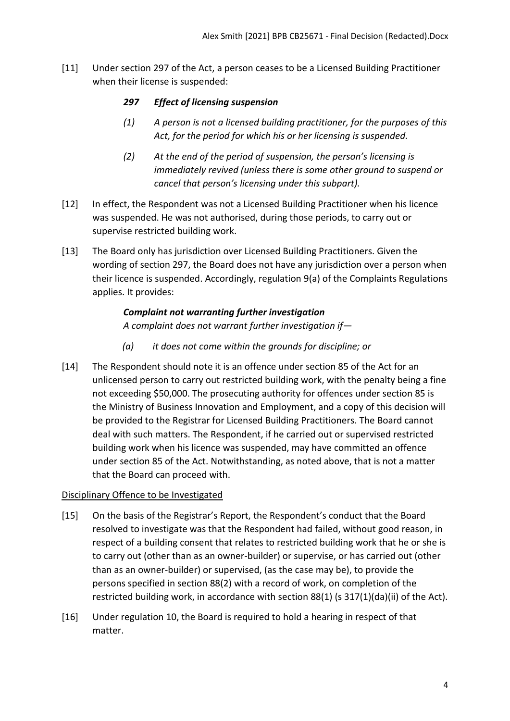[11] Under section 297 of the Act, a person ceases to be a Licensed Building Practitioner when their license is suspended:

## *297 Effect of licensing suspension*

- *(1) A person is not a licensed building practitioner, for the purposes of this Act, for the period for which his or her licensing is suspended.*
- *(2) At the end of the period of suspension, the person's licensing is immediately revived (unless there is some other ground to suspend or cancel that person's licensing under this subpart).*
- [12] In effect, the Respondent was not a Licensed Building Practitioner when his licence was suspended. He was not authorised, during those periods, to carry out or supervise restricted building work.
- [13] The Board only has jurisdiction over Licensed Building Practitioners. Given the wording of section 297, the Board does not have any jurisdiction over a person when their licence is suspended. Accordingly, regulation 9(a) of the Complaints Regulations applies. It provides:

# *Complaint not warranting further investigation*

*A complaint does not warrant further investigation if—* 

- *(a) it does not come within the grounds for discipline; or*
- [14] The Respondent should note it is an offence under section 85 of the Act for an unlicensed person to carry out restricted building work, with the penalty being a fine not exceeding \$50,000. The prosecuting authority for offences under section 85 is the Ministry of Business Innovation and Employment, and a copy of this decision will be provided to the Registrar for Licensed Building Practitioners. The Board cannot deal with such matters. The Respondent, if he carried out or supervised restricted building work when his licence was suspended, may have committed an offence under section 85 of the Act. Notwithstanding, as noted above, that is not a matter that the Board can proceed with.

# <span id="page-3-0"></span>Disciplinary Offence to be Investigated

- [15] On the basis of the Registrar's Report, the Respondent's conduct that the Board resolved to investigate was that the Respondent had failed, without good reason, in respect of a building consent that relates to restricted building work that he or she is to carry out (other than as an owner-builder) or supervise, or has carried out (other than as an owner-builder) or supervised, (as the case may be), to provide the persons specified in section 88(2) with a record of work, on completion of the restricted building work, in accordance with section 88(1) (s 317(1)(da)(ii) of the Act).
- [16] Under regulation 10, the Board is required to hold a hearing in respect of that matter.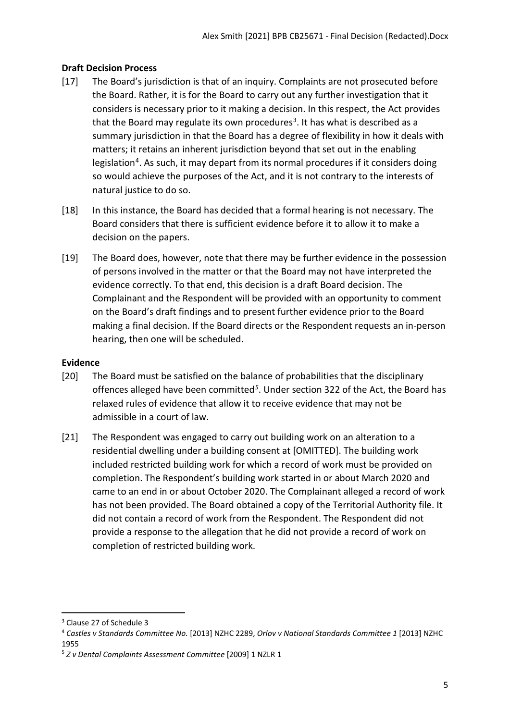# <span id="page-4-0"></span>**Draft Decision Process**

- [17] The Board's jurisdiction is that of an inquiry. Complaints are not prosecuted before the Board. Rather, it is for the Board to carry out any further investigation that it considers is necessary prior to it making a decision. In this respect, the Act provides that the Board may regulate its own procedures<sup>[3](#page-4-2)</sup>. It has what is described as a summary jurisdiction in that the Board has a degree of flexibility in how it deals with matters; it retains an inherent jurisdiction beyond that set out in the enabling legislation<sup>[4](#page-4-3)</sup>. As such, it may depart from its normal procedures if it considers doing so would achieve the purposes of the Act, and it is not contrary to the interests of natural justice to do so.
- [18] In this instance, the Board has decided that a formal hearing is not necessary. The Board considers that there is sufficient evidence before it to allow it to make a decision on the papers.
- [19] The Board does, however, note that there may be further evidence in the possession of persons involved in the matter or that the Board may not have interpreted the evidence correctly. To that end, this decision is a draft Board decision. The Complainant and the Respondent will be provided with an opportunity to comment on the Board's draft findings and to present further evidence prior to the Board making a final decision. If the Board directs or the Respondent requests an in-person hearing, then one will be scheduled.

## <span id="page-4-1"></span>**Evidence**

- [20] The Board must be satisfied on the balance of probabilities that the disciplinary offences alleged have been committed*[5](#page-4-4)*. Under section 322 of the Act, the Board has relaxed rules of evidence that allow it to receive evidence that may not be admissible in a court of law.
- [21] The Respondent was engaged to carry out building work on an alteration to a residential dwelling under a building consent at [OMITTED]. The building work included restricted building work for which a record of work must be provided on completion. The Respondent's building work started in or about March 2020 and came to an end in or about October 2020. The Complainant alleged a record of work has not been provided. The Board obtained a copy of the Territorial Authority file. It did not contain a record of work from the Respondent. The Respondent did not provide a response to the allegation that he did not provide a record of work on completion of restricted building work.

<span id="page-4-2"></span><sup>3</sup> Clause 27 of Schedule 3

<span id="page-4-3"></span><sup>4</sup> *Castles v Standards Committee No.* [2013] NZHC 2289, *Orlov v National Standards Committee 1* [2013] NZHC 1955

<span id="page-4-4"></span><sup>5</sup> *Z v Dental Complaints Assessment Committee* [2009] 1 NZLR 1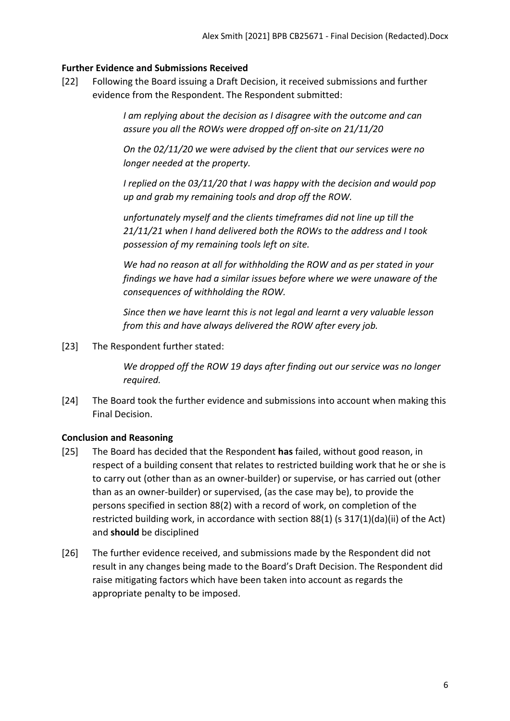#### <span id="page-5-0"></span>**Further Evidence and Submissions Received**

[22] Following the Board issuing a Draft Decision, it received submissions and further evidence from the Respondent. The Respondent submitted:

> *I am replying about the decision as I disagree with the outcome and can assure you all the ROWs were dropped off on-site on 21/11/20*

> *On the 02/11/20 we were advised by the client that our services were no longer needed at the property.*

*I replied on the 03/11/20 that I was happy with the decision and would pop up and grab my remaining tools and drop off the ROW.*

*unfortunately myself and the clients timeframes did not line up till the 21/11/21 when I hand delivered both the ROWs to the address and I took possession of my remaining tools left on site.*

*We had no reason at all for withholding the ROW and as per stated in your findings we have had a similar issues before where we were unaware of the consequences of withholding the ROW.*

*Since then we have learnt this is not legal and learnt a very valuable lesson from this and have always delivered the ROW after every job.*

[23] The Respondent further stated:

*We dropped off the ROW 19 days after finding out our service was no longer required.*

[24] The Board took the further evidence and submissions into account when making this Final Decision.

## <span id="page-5-1"></span>**Conclusion and Reasoning**

- [25] The Board has decided that the Respondent **has** failed, without good reason, in respect of a building consent that relates to restricted building work that he or she is to carry out (other than as an owner-builder) or supervise, or has carried out (other than as an owner-builder) or supervised, (as the case may be), to provide the persons specified in section 88(2) with a record of work, on completion of the restricted building work, in accordance with section 88(1) (s 317(1)(da)(ii) of the Act) and **should** be disciplined
- [26] The further evidence received, and submissions made by the Respondent did not result in any changes being made to the Board's Draft Decision. The Respondent did raise mitigating factors which have been taken into account as regards the appropriate penalty to be imposed.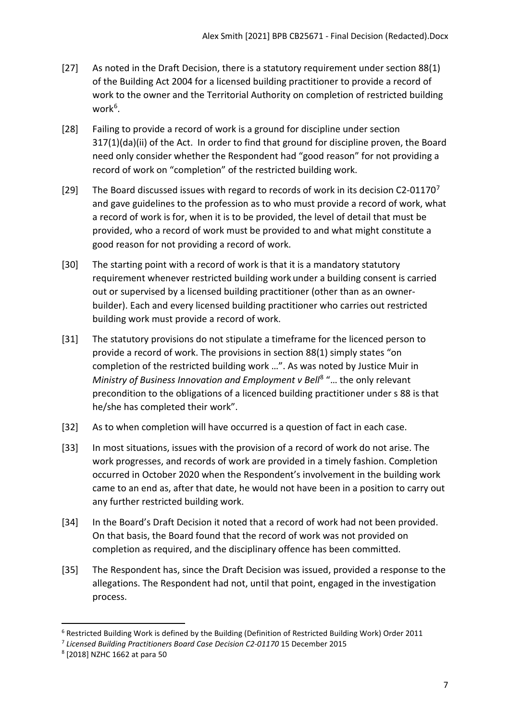- [27] As noted in the Draft Decision, there is a statutory requirement under section 88(1) of the Building Act 2004 for a licensed building practitioner to provide a record of work to the owner and the Territorial Authority on completion of restricted building work<sup>[6](#page-6-0)</sup>.
- [28] Failing to provide a record of work is a ground for discipline under section 317(1)(da)(ii) of the Act. In order to find that ground for discipline proven, the Board need only consider whether the Respondent had "good reason" for not providing a record of work on "completion" of the restricted building work.
- [29] The Board discussed issues with regard to records of work in its decision C2-011[7](#page-6-1)0<sup>7</sup> and gave guidelines to the profession as to who must provide a record of work, what a record of work is for, when it is to be provided, the level of detail that must be provided, who a record of work must be provided to and what might constitute a good reason for not providing a record of work.
- [30] The starting point with a record of work is that it is a mandatory statutory requirement whenever restricted building work under a building consent is carried out or supervised by a licensed building practitioner (other than as an ownerbuilder). Each and every licensed building practitioner who carries out restricted building work must provide a record of work.
- [31] The statutory provisions do not stipulate a timeframe for the licenced person to provide a record of work. The provisions in section 88(1) simply states "on completion of the restricted building work …". As was noted by Justice Muir in *Ministry of Business Innovation and Employment v Bell*[8](#page-6-2) "… the only relevant precondition to the obligations of a licenced building practitioner under s 88 is that he/she has completed their work".
- [32] As to when completion will have occurred is a question of fact in each case.
- [33] In most situations, issues with the provision of a record of work do not arise. The work progresses, and records of work are provided in a timely fashion. Completion occurred in October 2020 when the Respondent's involvement in the building work came to an end as, after that date, he would not have been in a position to carry out any further restricted building work.
- [34] In the Board's Draft Decision it noted that a record of work had not been provided. On that basis, the Board found that the record of work was not provided on completion as required, and the disciplinary offence has been committed.
- [35] The Respondent has, since the Draft Decision was issued, provided a response to the allegations. The Respondent had not, until that point, engaged in the investigation process.

<span id="page-6-0"></span> $6$  Restricted Building Work is defined by the Building (Definition of Restricted Building Work) Order 2011

<span id="page-6-1"></span><sup>7</sup> *Licensed Building Practitioners Board Case Decision C2-01170* 15 December 2015

<span id="page-6-2"></span><sup>8</sup> [2018] NZHC 1662 at para 50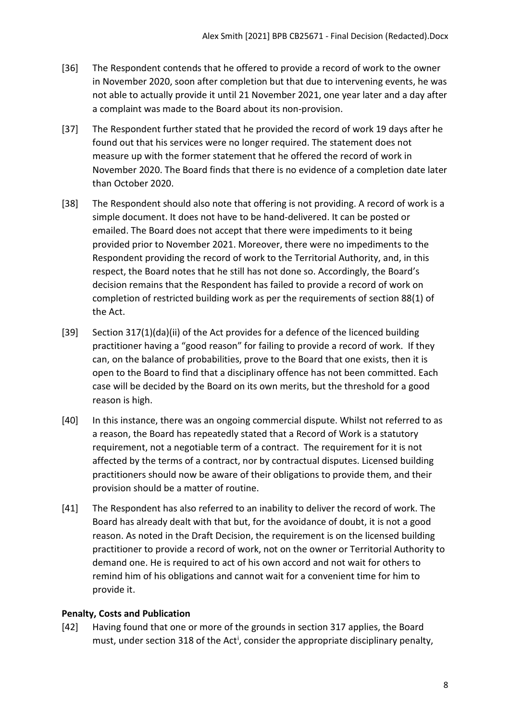- [36] The Respondent contends that he offered to provide a record of work to the owner in November 2020, soon after completion but that due to intervening events, he was not able to actually provide it until 21 November 2021, one year later and a day after a complaint was made to the Board about its non-provision.
- [37] The Respondent further stated that he provided the record of work 19 days after he found out that his services were no longer required. The statement does not measure up with the former statement that he offered the record of work in November 2020. The Board finds that there is no evidence of a completion date later than October 2020.
- [38] The Respondent should also note that offering is not providing. A record of work is a simple document. It does not have to be hand-delivered. It can be posted or emailed. The Board does not accept that there were impediments to it being provided prior to November 2021. Moreover, there were no impediments to the Respondent providing the record of work to the Territorial Authority, and, in this respect, the Board notes that he still has not done so. Accordingly, the Board's decision remains that the Respondent has failed to provide a record of work on completion of restricted building work as per the requirements of section 88(1) of the Act.
- [39] Section 317(1)(da)(ii) of the Act provides for a defence of the licenced building practitioner having a "good reason" for failing to provide a record of work. If they can, on the balance of probabilities, prove to the Board that one exists, then it is open to the Board to find that a disciplinary offence has not been committed. Each case will be decided by the Board on its own merits, but the threshold for a good reason is high.
- [40] In this instance, there was an ongoing commercial dispute. Whilst not referred to as a reason, the Board has repeatedly stated that a Record of Work is a statutory requirement, not a negotiable term of a contract. The requirement for it is not affected by the terms of a contract, nor by contractual disputes. Licensed building practitioners should now be aware of their obligations to provide them, and their provision should be a matter of routine.
- [41] The Respondent has also referred to an inability to deliver the record of work. The Board has already dealt with that but, for the avoidance of doubt, it is not a good reason. As noted in the Draft Decision, the requirement is on the licensed building practitioner to provide a record of work, not on the owner or Territorial Authority to demand one. He is required to act of his own accord and not wait for others to remind him of his obligations and cannot wait for a convenient time for him to provide it.

## <span id="page-7-0"></span>**Penalty, Costs and Publication**

[42] Having found that one or more of the grounds in section 317 applies, the Board must, under sect[i](#page-11-1)on 318 of the Act<sup>i</sup>, consider the appropriate disciplinary penalty,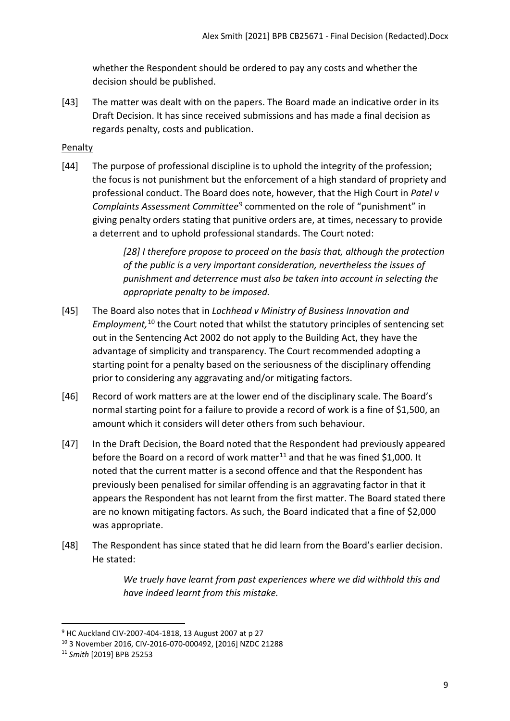whether the Respondent should be ordered to pay any costs and whether the decision should be published.

[43] The matter was dealt with on the papers. The Board made an indicative order in its Draft Decision. It has since received submissions and has made a final decision as regards penalty, costs and publication.

# <span id="page-8-0"></span>Penalty

[44] The purpose of professional discipline is to uphold the integrity of the profession; the focus is not punishment but the enforcement of a high standard of propriety and professional conduct. The Board does note, however, that the High Court in *Patel v Complaints Assessment Committee*[9](#page-8-1) commented on the role of "punishment" in giving penalty orders stating that punitive orders are, at times, necessary to provide a deterrent and to uphold professional standards. The Court noted:

> *[28] I therefore propose to proceed on the basis that, although the protection of the public is a very important consideration, nevertheless the issues of punishment and deterrence must also be taken into account in selecting the appropriate penalty to be imposed.*

- [45] The Board also notes that in *Lochhead v Ministry of Business Innovation and Employment,* [10](#page-8-2) the Court noted that whilst the statutory principles of sentencing set out in the Sentencing Act 2002 do not apply to the Building Act, they have the advantage of simplicity and transparency. The Court recommended adopting a starting point for a penalty based on the seriousness of the disciplinary offending prior to considering any aggravating and/or mitigating factors.
- [46] Record of work matters are at the lower end of the disciplinary scale. The Board's normal starting point for a failure to provide a record of work is a fine of \$1,500, an amount which it considers will deter others from such behaviour.
- [47] In the Draft Decision, the Board noted that the Respondent had previously appeared before the Board on a record of work matter<sup>[11](#page-8-3)</sup> and that he was fined \$1,000. It noted that the current matter is a second offence and that the Respondent has previously been penalised for similar offending is an aggravating factor in that it appears the Respondent has not learnt from the first matter. The Board stated there are no known mitigating factors. As such, the Board indicated that a fine of \$2,000 was appropriate.
- [48] The Respondent has since stated that he did learn from the Board's earlier decision. He stated:

*We truely have learnt from past experiences where we did withhold this and have indeed learnt from this mistake.*

<span id="page-8-1"></span><sup>&</sup>lt;sup>9</sup> HC Auckland CIV-2007-404-1818, 13 August 2007 at p 27

<span id="page-8-2"></span><sup>10</sup> 3 November 2016, CIV-2016-070-000492, [2016] NZDC 21288

<span id="page-8-3"></span><sup>11</sup> *Smith* [2019] BPB 25253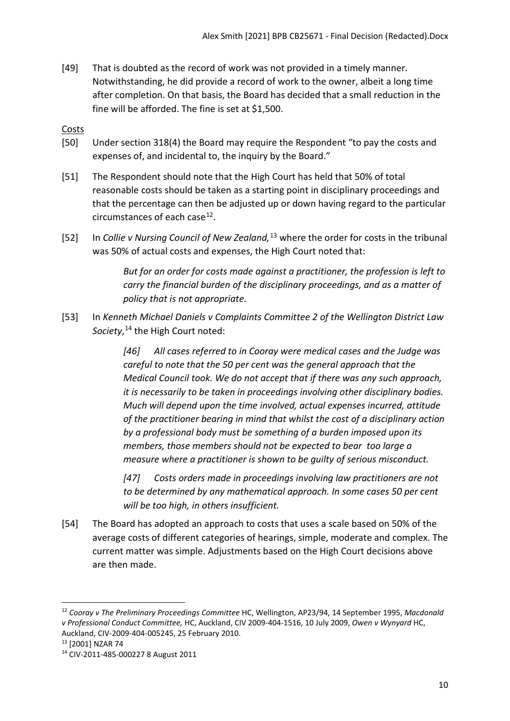[49] That is doubted as the record of work was not provided in a timely manner. Notwithstanding, he did provide a record of work to the owner, albeit a long time after completion. On that basis, the Board has decided that a small reduction in the fine will be afforded. The fine is set at \$1,500.

# <span id="page-9-0"></span>Costs

- [50] Under section 318(4) the Board may require the Respondent "to pay the costs and expenses of, and incidental to, the inquiry by the Board."
- [51] The Respondent should note that the High Court has held that 50% of total reasonable costs should be taken as a starting point in disciplinary proceedings and that the percentage can then be adjusted up or down having regard to the particular circumstances of each case<sup>12</sup>.
- [52] In *Collie v Nursing Council of New Zealand,*[13](#page-9-2) where the order for costs in the tribunal was 50% of actual costs and expenses, the High Court noted that:

*But for an order for costs made against a practitioner, the profession is left to carry the financial burden of the disciplinary proceedings, and as a matter of policy that is not appropriate.*

[53] In *Kenneth Michael Daniels v Complaints Committee 2 of the Wellington District Law Society*, [14](#page-9-3) the High Court noted:

> *[46] All cases referred to in Cooray were medical cases and the Judge was careful to note that the 50 per cent was the general approach that the Medical Council took. We do not accept that if there was any such approach, it is necessarily to be taken in proceedings involving other disciplinary bodies. Much will depend upon the time involved, actual expenses incurred, attitude of the practitioner bearing in mind that whilst the cost of a disciplinary action by a professional body must be something of a burden imposed upon its members, those members should not be expected to bear too large a measure where a practitioner is shown to be guilty of serious misconduct.*

*[47] Costs orders made in proceedings involving law practitioners are not to be determined by any mathematical approach. In some cases 50 per cent will be too high, in others insufficient.*

[54] The Board has adopted an approach to costs that uses a scale based on 50% of the average costs of different categories of hearings, simple, moderate and complex. The current matter was simple. Adjustments based on the High Court decisions above are then made.

<span id="page-9-1"></span><sup>12</sup> *Cooray v The Preliminary Proceedings Committee* HC, Wellington, AP23/94, 14 September 1995, *Macdonald v Professional Conduct Committee,* HC, Auckland, CIV 2009-404-1516, 10 July 2009, *Owen v Wynyard* HC, Auckland, CIV-2009-404-005245, 25 February 2010. 13 [2001] NZAR 74

<span id="page-9-2"></span>

<span id="page-9-3"></span><sup>14</sup> CIV-2011-485-000227 8 August 2011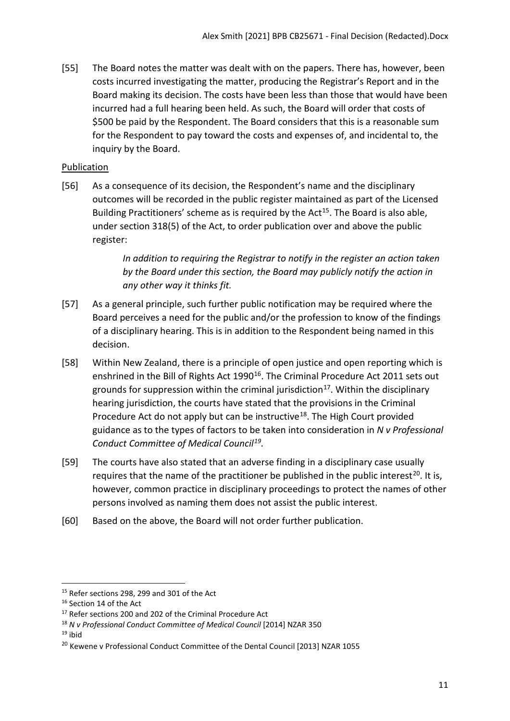[55] The Board notes the matter was dealt with on the papers. There has, however, been costs incurred investigating the matter, producing the Registrar's Report and in the Board making its decision. The costs have been less than those that would have been incurred had a full hearing been held. As such, the Board will order that costs of \$500 be paid by the Respondent. The Board considers that this is a reasonable sum for the Respondent to pay toward the costs and expenses of, and incidental to, the inquiry by the Board.

# <span id="page-10-0"></span>Publication

[56] As a consequence of its decision, the Respondent's name and the disciplinary outcomes will be recorded in the public register maintained as part of the Licensed Building Practitioners' scheme as is required by the  $Act^{15}$  $Act^{15}$  $Act^{15}$ . The Board is also able, under section 318(5) of the Act, to order publication over and above the public register:

> *In addition to requiring the Registrar to notify in the register an action taken by the Board under this section, the Board may publicly notify the action in any other way it thinks fit.*

- [57] As a general principle, such further public notification may be required where the Board perceives a need for the public and/or the profession to know of the findings of a disciplinary hearing. This is in addition to the Respondent being named in this decision.
- [58] Within New Zealand, there is a principle of open justice and open reporting which is enshrined in the Bill of Rights Act 1990<sup>16</sup>. The Criminal Procedure Act 2011 sets out grounds for suppression within the criminal jurisdiction<sup>17</sup>. Within the disciplinary hearing jurisdiction, the courts have stated that the provisions in the Criminal Procedure Act do not apply but can be instructive<sup>[18](#page-10-5)</sup>. The High Court provided guidance as to the types of factors to be taken into consideration in *N v Professional Conduct Committee of Medical Council[19](#page-10-6).*
- [59] The courts have also stated that an adverse finding in a disciplinary case usually requires that the name of the practitioner be published in the public interest<sup>[20](#page-10-7)</sup>. It is, however, common practice in disciplinary proceedings to protect the names of other persons involved as naming them does not assist the public interest.
- <span id="page-10-1"></span>[60] Based on the above, the Board will not order further publication.

<span id="page-10-2"></span> $15$  Refer sections 298, 299 and 301 of the Act

<span id="page-10-3"></span><sup>&</sup>lt;sup>16</sup> Section 14 of the Act

<span id="page-10-4"></span><sup>&</sup>lt;sup>17</sup> Refer sections 200 and 202 of the Criminal Procedure Act

<span id="page-10-5"></span><sup>18</sup> *N v Professional Conduct Committee of Medical Council* [2014] NZAR 350

<span id="page-10-6"></span> $19$  ibid

<span id="page-10-7"></span><sup>&</sup>lt;sup>20</sup> Kewene v Professional Conduct Committee of the Dental Council [2013] NZAR 1055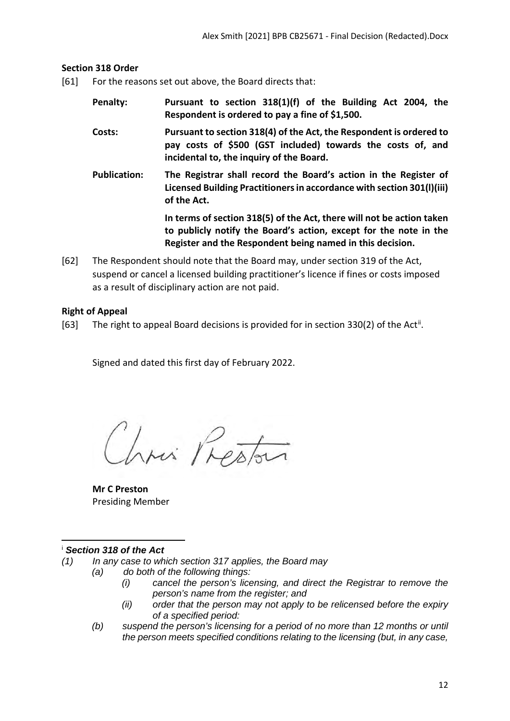#### **Section 318 Order**

- [61] For the reasons set out above, the Board directs that:
	- **Penalty: Pursuant to section 318(1)(f) of the Building Act 2004, the Respondent is ordered to pay a fine of \$1,500.**
	- **Costs: Pursuant to section 318(4) of the Act, the Respondent is ordered to pay costs of \$500 (GST included) towards the costs of, and incidental to, the inquiry of the Board.**
	- **Publication: The Registrar shall record the Board's action in the Register of Licensed Building Practitioners in accordance with section 301(l)(iii) of the Act.**

**In terms of section 318(5) of the Act, there will not be action taken to publicly notify the Board's action, except for the note in the Register and the Respondent being named in this decision.**

[62] The Respondent should note that the Board may, under section 319 of the Act, suspend or cancel a licensed building practitioner's licence if fines or costs imposed as a result of disciplinary action are not paid.

## <span id="page-11-0"></span>**Right of Appeal**

[63] The right to appeal Board decisions is provided for in section 330(2) of the Act<sup>[ii](#page-12-0)</sup>.

Signed and dated this first day of February 2022.

Chris Preston

**Mr C Preston** Presiding Member

#### <span id="page-11-1"></span><sup>i</sup> *Section 318 of the Act*

- *(1) In any case to which section 317 applies, the Board may*
	- *(a) do both of the following things:*
		- *(i) cancel the person's licensing, and direct the Registrar to remove the person's name from the register; and*
		- *(ii) order that the person may not apply to be relicensed before the expiry of a specified period:*
	- *(b) suspend the person's licensing for a period of no more than 12 months or until the person meets specified conditions relating to the licensing (but, in any case,*